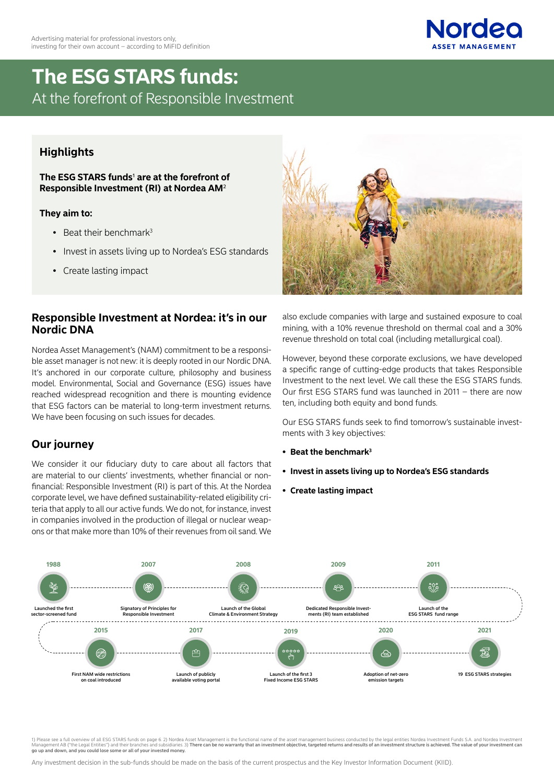

# **The ESG STARS funds:**  At the forefront of Responsible Investment

## **Highlights**

**The ESG STARS funds**1 **are at the forefront of Responsible Investment (RI) at Nordea AM**2

#### **They aim to:**

- Beat their benchmark $3$
- Invest in assets living up to Nordea's ESG standards
- Create lasting impact

### **Responsible Investment at Nordea: it's in our Nordic DNA**

Nordea Asset Management's (NAM) commitment to be a responsible asset manager is not new: it is deeply rooted in our Nordic DNA. It's anchored in our corporate culture, philosophy and business model. Environmental, Social and Governance (ESG) issues have reached widespread recognition and there is mounting evidence that ESG factors can be material to long-term investment returns. We have been focusing on such issues for decades.

## **Our journey**

We consider it our fiduciary duty to care about all factors that are material to our clients' investments, whether financial or nonfinancial: Responsible Investment (RI) is part of this. At the Nordea corporate level, we have defined sustainability-related eligibility criteria that apply to all our active funds. We do not, for instance, invest in companies involved in the production of illegal or nuclear weapons or that make more than 10% of their revenues from oil sand. We



also exclude companies with large and sustained exposure to coal mining, with a 10% revenue threshold on thermal coal and a 30% revenue threshold on total coal (including metallurgical coal).

However, beyond these corporate exclusions, we have developed a specific range of cutting-edge products that takes Responsible Investment to the next level. We call these the ESG STARS funds. Our first ESG STARS fund was launched in 2011 – there are now ten, including both equity and bond funds.

Our ESG STARS funds seek to find tomorrow's sustainable investments with 3 key objectives:

- **• Beat the benchmark3**
- **• Invest in assets living up to Nordea's ESG standards**
- **• Create lasting impact**



1) Please see a full overview of all ESG STARS funds on page 6.2) Nordea Asset Management is the functional name of the asset management business conducted by the legal entities Nordea Investment Eunds S.A. and Nordea Inve go up and down, and you could lose some or all of your invested money.

Any investment decision in the sub-funds should be made on the basis of the current prospectus and the Key Investor Information Document (KIID).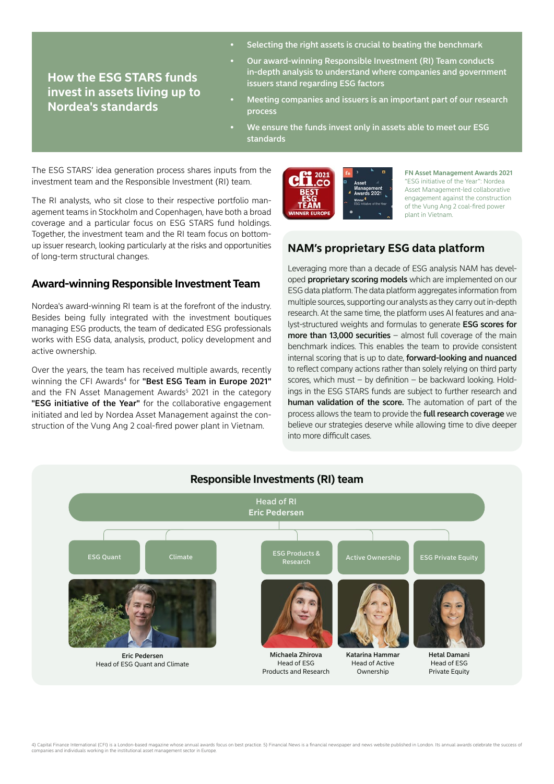Selecting the right assets is crucial to beating the benchmark

**How the ESG STARS funds invest in assets living up to Nordea's standards**

- Our award-winning Responsible Investment (RI) Team conducts in-depth analysis to understand where companies and government issuers stand regarding ESG factors
- Meeting companies and issuers is an important part of our research process
- We ensure the funds invest only in assets able to meet our ESG standards

The ESG STARS' idea generation process shares inputs from the investment team and the Responsible Investment (RI) team.

The RI analysts, who sit close to their respective portfolio management teams in Stockholm and Copenhagen, have both a broad coverage and a particular focus on ESG STARS fund holdings. Together, the investment team and the RI team focus on bottomup issuer research, looking particularly at the risks and opportunities of long-term structural changes.

### **Award-winning Responsible Investment Team**

Nordea's award-winning RI team is at the forefront of the industry. Besides being fully integrated with the investment boutiques managing ESG products, the team of dedicated ESG professionals works with ESG data, analysis, product, policy development and active ownership.

Over the years, the team has received multiple awards, recently winning the CFI Awards<sup>4</sup> for "Best ESG Team in Europe 2021" and the FN Asset Management Awards<sup>5</sup> 2021 in the category "ESG initiative of the Year" for the collaborative engagement initiated and led by Nordea Asset Management against the construction of the Vung Ang 2 coal-fired power plant in Vietnam.



FN Asset Management Awards 2021 "ESG initiative of the Year": Nordea Asset Management-led collaborative engagement against the construction of the Vung Ang 2 coal-fired power plant in Vietnam.

## **NAM's proprietary ESG data platform**

Leveraging more than a decade of ESG analysis NAM has developed **proprietary scoring models** which are implemented on our ESG data platform. The data platform aggregates information from multiple sources, supporting our analysts as they carry out in-depth research. At the same time, the platform uses AI features and analyst-structured weights and formulas to generate ESG scores for more than 13,000 securities - almost full coverage of the main benchmark indices. This enables the team to provide consistent internal scoring that is up to date, forward-looking and nuanced to reflect company actions rather than solely relying on third party scores, which must – by definition – be backward looking. Holdings in the ESG STARS funds are subject to further research and human validation of the score. The automation of part of the process allows the team to provide the full research coverage we believe our strategies deserve while allowing time to dive deeper into more difficult cases.

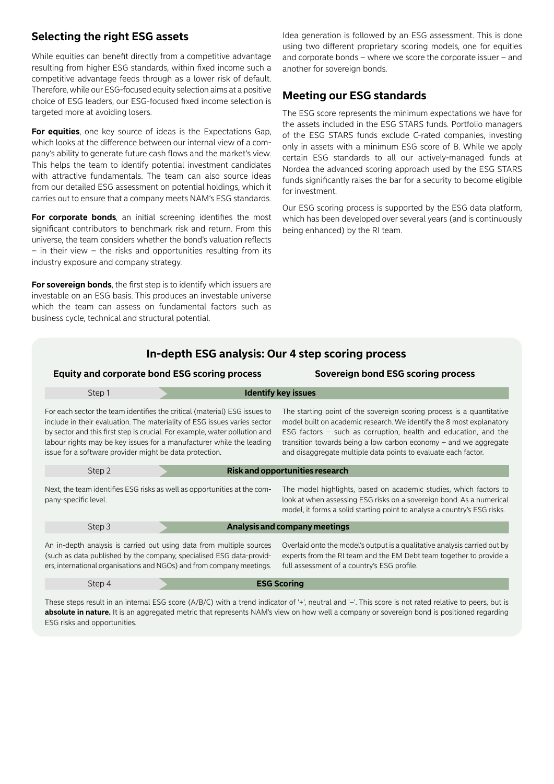## **Selecting the right ESG assets**

While equities can benefit directly from a competitive advantage resulting from higher ESG standards, within fixed income such a competitive advantage feeds through as a lower risk of default. Therefore, while our ESG-focused equity selection aims at a positive choice of ESG leaders, our ESG-focused fixed income selection is targeted more at avoiding losers.

**For equities**, one key source of ideas is the Expectations Gap, which looks at the difference between our internal view of a company's ability to generate future cash flows and the market's view. This helps the team to identify potential investment candidates with attractive fundamentals. The team can also source ideas from our detailed ESG assessment on potential holdings, which it carries out to ensure that a company meets NAM's ESG standards.

For corporate bonds, an initial screening identifies the most significant contributors to benchmark risk and return. From this universe, the team considers whether the bond's valuation reflects – in their view – the risks and opportunities resulting from its industry exposure and company strategy.

**For sovereign bonds**, the first step is to identify which issuers are investable on an ESG basis. This produces an investable universe which the team can assess on fundamental factors such as business cycle, technical and structural potential.

Idea generation is followed by an ESG assessment. This is done using two different proprietary scoring models, one for equities and corporate bonds – where we score the corporate issuer – and another for sovereign bonds.

### **Meeting our ESG standards**

The ESG score represents the minimum expectations we have for the assets included in the ESG STARS funds. Portfolio managers of the ESG STARS funds exclude C-rated companies, investing only in assets with a minimum ESG score of B. While we apply certain ESG standards to all our actively-managed funds at Nordea the advanced scoring approach used by the ESG STARS funds significantly raises the bar for a security to become eligible for investment.

Our ESG scoring process is supported by the ESG data platform, which has been developed over several years (and is continuously being enhanced) by the RI team.

### **In-depth ESG analysis: Our 4 step scoring process**

#### **Equity and corporate bond ESG scoring process Sovereign bond ESG scoring process**

| Step 1                                                                                                                                                                                                                                                                                                                                                                 |  |  | <b>Identify key issues</b>                                                                                                                                                                                                                                                                                                                               |  |  |
|------------------------------------------------------------------------------------------------------------------------------------------------------------------------------------------------------------------------------------------------------------------------------------------------------------------------------------------------------------------------|--|--|----------------------------------------------------------------------------------------------------------------------------------------------------------------------------------------------------------------------------------------------------------------------------------------------------------------------------------------------------------|--|--|
| For each sector the team identifies the critical (material) ESG issues to<br>include in their evaluation. The materiality of ESG issues varies sector<br>by sector and this first step is crucial. For example, water pollution and<br>labour rights may be key issues for a manufacturer while the leading<br>issue for a software provider might be data protection. |  |  | The starting point of the sovereign scoring process is a quantitative<br>model built on academic research. We identify the 8 most explanatory<br>ESG factors – such as corruption, health and education, and the<br>transition towards being a low carbon economy $-$ and we aggregate<br>and disaggregate multiple data points to evaluate each factor. |  |  |
| Step 2                                                                                                                                                                                                                                                                                                                                                                 |  |  | <b>Risk and opportunities research</b>                                                                                                                                                                                                                                                                                                                   |  |  |
| Next, the team identifies ESG risks as well as opportunities at the com-<br>pany-specific level.                                                                                                                                                                                                                                                                       |  |  | The model highlights, based on academic studies, which factors to<br>look at when assessing ESG risks on a sovereign bond. As a numerical<br>model, it forms a solid starting point to analyse a country's ESG risks.                                                                                                                                    |  |  |
| Step 3                                                                                                                                                                                                                                                                                                                                                                 |  |  | Analysis and company meetings                                                                                                                                                                                                                                                                                                                            |  |  |
| An in-depth analysis is carried out using data from multiple sources<br>(such as data published by the company, specialised ESG data-provid-<br>ers, international organisations and NGOs) and from company meetings.                                                                                                                                                  |  |  | Overlaid onto the model's output is a qualitative analysis carried out by<br>experts from the RI team and the EM Debt team together to provide a<br>full assessment of a country's ESG profile.                                                                                                                                                          |  |  |
| Step 4                                                                                                                                                                                                                                                                                                                                                                 |  |  | <b>ESG Scoring</b>                                                                                                                                                                                                                                                                                                                                       |  |  |

These steps result in an internal ESG score (A/B/C) with a trend indicator of '+', neutral and '-'. This score is not rated relative to peers, but is absolute in nature. It is an aggregated metric that represents NAM's view on how well a company or sovereign bond is positioned regarding ESG risks and opportunities.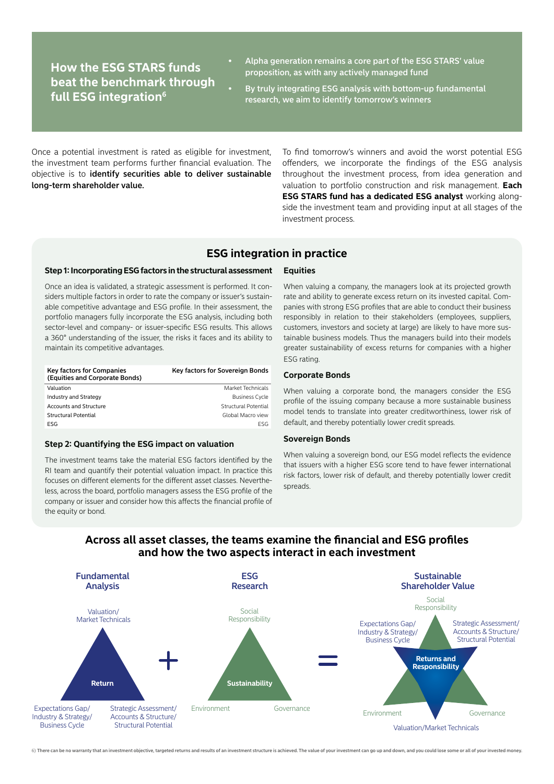## **How the ESG STARS funds beat the benchmark through full ESG integration6**

- Alpha generation remains a core part of the ESG STARS' value proposition, as with any actively managed fund
- By truly integrating ESG analysis with bottom-up fundamental research, we aim to identify tomorrow's winners

Once a potential investment is rated as eligible for investment, the investment team performs further financial evaluation. The objective is to identify securities able to deliver sustainable long-term shareholder value.

To find tomorrow's winners and avoid the worst potential ESG offenders, we incorporate the findings of the ESG analysis throughout the investment process, from idea generation and valuation to portfolio construction and risk management. **Each ESG STARS fund has a dedicated ESG analyst** working alongside the investment team and providing input at all stages of the investment process.

### **ESG integration in practice**

#### **Step 1: Incorporating ESG factors in the structural assessment**

Once an idea is validated, a strategic assessment is performed. It considers multiple factors in order to rate the company or issuer's sustainable competitive advantage and ESG profile. In their assessment, the portfolio managers fully incorporate the ESG analysis, including both sector-level and company- or issuer-specific ESG results. This allows a 360° understanding of the issuer, the risks it faces and its ability to maintain its competitive advantages.

| <b>Key factors for Companies</b><br>(Equities and Corporate Bonds) | Key factors for Sovereign Bonds |
|--------------------------------------------------------------------|---------------------------------|
| Valuation                                                          | Market Technicals               |
| Industry and Strategy                                              | <b>Business Cycle</b>           |
| <b>Accounts and Structure</b>                                      | Structural Potential            |
| <b>Structural Potential</b>                                        | Global Macro view               |
| ESG                                                                | FSG                             |

#### **Step 2: Quantifying the ESG impact on valuation**

The investment teams take the material ESG factors identified by the RI team and quantify their potential valuation impact. In practice this focuses on different elements for the different asset classes. Nevertheless, across the board, portfolio managers assess the ESG profile of the company or issuer and consider how this affects the financial profile of the equity or bond.

#### **Equities**

When valuing a company, the managers look at its projected growth rate and ability to generate excess return on its invested capital. Companies with strong ESG profiles that are able to conduct their business responsibly in relation to their stakeholders (employees, suppliers, customers, investors and society at large) are likely to have more sustainable business models. Thus the managers build into their models greater sustainability of excess returns for companies with a higher ESG rating.

#### **Corporate Bonds**

When valuing a corporate bond, the managers consider the ESG profile of the issuing company because a more sustainable business model tends to translate into greater creditworthiness, lower risk of default, and thereby potentially lower credit spreads.

#### **Sovereign Bonds**

When valuing a sovereign bond, our ESG model reflects the evidence that issuers with a higher ESG score tend to have fewer international risk factors, lower risk of default, and thereby potentially lower credit spreads.

### **Across all asset classes, the teams examine the financial and ESG profiles and how the two aspects interact in each investment**



6) There can be no warranty that an investment objective, targeted returns and results of an investment structure is achieved. The value of your investment can go up and down, and you could lose some or all of your investe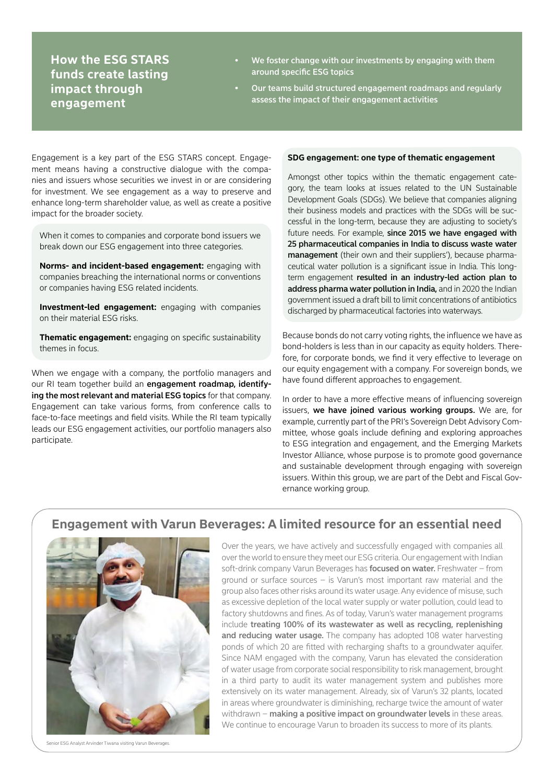## **How the ESG STARS funds create lasting impact through engagement**

- We foster change with our investments by engaging with them around specific ESG topics
- Our teams build structured engagement roadmaps and regularly assess the impact of their engagement activities

Engagement is a key part of the ESG STARS concept. Engagement means having a constructive dialogue with the companies and issuers whose securities we invest in or are considering for investment. We see engagement as a way to preserve and enhance long-term shareholder value, as well as create a positive impact for the broader society.

When it comes to companies and corporate bond issuers we break down our ESG engagement into three categories.

**Norms- and incident-based engagement:** engaging with companies breaching the international norms or conventions or companies having ESG related incidents.

**Investment-led engagement:** engaging with companies on their material ESG risks.

**Thematic engagement:** engaging on specific sustainability themes in focus.

When we engage with a company, the portfolio managers and our RI team together build an engagement roadmap, identifying the most relevant and material ESG topics for that company. Engagement can take various forms, from conference calls to face-to-face meetings and field visits. While the RI team typically leads our ESG engagement activities, our portfolio managers also participate.

#### **SDG engagement: one type of thematic engagement**

Amongst other topics within the thematic engagement category, the team looks at issues related to the UN Sustainable Development Goals (SDGs). We believe that companies aligning their business models and practices with the SDGs will be successful in the long-term, because they are adjusting to society's future needs. For example, since 2015 we have engaged with 25 pharmaceutical companies in India to discuss waste water management (their own and their suppliers'), because pharmaceutical water pollution is a significant issue in India. This longterm engagement resulted in an industry-led action plan to address pharma water pollution in India, and in 2020 the Indian government issued a draft bill to limit concentrations of antibiotics discharged by pharmaceutical factories into waterways.

Because bonds do not carry voting rights, the influence we have as bond-holders is less than in our capacity as equity holders. Therefore, for corporate bonds, we find it very effective to leverage on our equity engagement with a company. For sovereign bonds, we have found different approaches to engagement.

In order to have a more effective means of influencing sovereign issuers, we have joined various working groups. We are, for example, currently part of the PRI's Sovereign Debt Advisory Committee, whose goals include defining and exploring approaches to ESG integration and engagement, and the Emerging Markets Investor Alliance, whose purpose is to promote good governance and sustainable development through engaging with sovereign issuers. Within this group, we are part of the Debt and Fiscal Governance working group.

### **Engagement with Varun Beverages: A limited resource for an essential need**



Senior ESG Analyst Arvinder Tiwana visiting Varun Beverages.

Over the years, we have actively and successfully engaged with companies all over the world to ensure they meet our ESG criteria. Our engagement with Indian soft-drink company Varun Beverages has **focused on water.** Freshwater – from ground or surface sources – is Varun's most important raw material and the group also faces other risks around its water usage. Any evidence of misuse, such as excessive depletion of the local water supply or water pollution, could lead to factory shutdowns and fines. As of today, Varun's water management programs include treating 100% of its wastewater as well as recycling, replenishing and reducing water usage. The company has adopted 108 water harvesting ponds of which 20 are fitted with recharging shafts to a groundwater aquifer. Since NAM engaged with the company, Varun has elevated the consideration of water usage from corporate social responsibility to risk management, brought in a third party to audit its water management system and publishes more extensively on its water management. Already, six of Varun's 32 plants, located in areas where groundwater is diminishing, recharge twice the amount of water withdrawn – making a positive impact on groundwater levels in these areas. We continue to encourage Varun to broaden its success to more of its plants.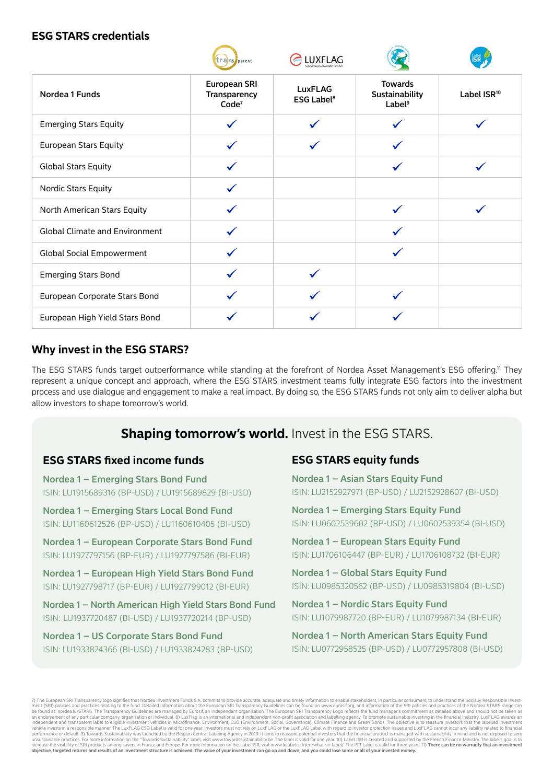### **ESG STARS credentials**

|                                       | trans parent                                             | LUXFLAG                                        |                                                        |                         |
|---------------------------------------|----------------------------------------------------------|------------------------------------------------|--------------------------------------------------------|-------------------------|
| Nordea 1 Funds                        | <b>European SRI</b><br>Transparency<br>Code <sup>7</sup> | <b>LuxFLAG</b><br><b>ESG Label<sup>8</sup></b> | <b>Towards</b><br>Sustainability<br>Label <sup>9</sup> | Label ISR <sup>10</sup> |
| <b>Emerging Stars Equity</b>          |                                                          |                                                |                                                        |                         |
| <b>European Stars Equity</b>          |                                                          |                                                |                                                        |                         |
| <b>Global Stars Equity</b>            |                                                          |                                                |                                                        |                         |
| Nordic Stars Equity                   |                                                          |                                                |                                                        |                         |
| North American Stars Equity           |                                                          |                                                |                                                        |                         |
| <b>Global Climate and Environment</b> |                                                          |                                                |                                                        |                         |
| <b>Global Social Empowerment</b>      |                                                          |                                                |                                                        |                         |
| <b>Emerging Stars Bond</b>            |                                                          |                                                |                                                        |                         |
| European Corporate Stars Bond         |                                                          |                                                |                                                        |                         |
| European High Yield Stars Bond        |                                                          |                                                |                                                        |                         |

## **Why invest in the ESG STARS?**

The ESG STARS funds target outperformance while standing at the forefront of Nordea Asset Management's ESG offering.11 They represent a unique concept and approach, where the ESG STARS investment teams fully integrate ESG factors into the investment process and use dialogue and engagement to make a real impact. By doing so, the ESG STARS funds not only aim to deliver alpha but allow investors to shape tomorrow's world.

## **Shaping tomorrow's world.** Invest in the ESG STARS.

### **ESG STARS fixed income funds**

Nordea 1 – Emerging Stars Bond Fund ISIN: LU1915689316 (BP-USD) / LU1915689829 (BI-USD)

Nordea 1 – Emerging Stars Local Bond Fund ISIN: LU1160612526 (BP-USD) / LU1160610405 (BI-USD)

Nordea 1 – European Corporate Stars Bond Fund ISIN: LU1927797156 (BP-EUR) / LU1927797586 (BI-EUR)

Nordea 1 – European High Yield Stars Bond Fund ISIN: LU1927798717 (BP-EUR) / LU1927799012 (BI-EUR)

Nordea 1 – North American High Yield Stars Bond Fund ISIN: LU1937720487 (BI-USD) / LU1937720214 (BP-USD)

# Nordea 1 – US Corporate Stars Bond Fund

ISIN: LU1933824366 (BI-USD) / LU1933824283 (BP-USD)

## **ESG STARS equity funds**

Nordea 1 – Asian Stars Equity Fund ISIN: LU2152927971 (BP-USD) / LU2152928607 (BI-USD)

Nordea 1 – Emerging Stars Equity Fund ISIN: LU0602539602 (BP-USD) / LU0602539354 (BI-USD)

Nordea 1 – European Stars Equity Fund ISIN: LU1706106447 (BP-EUR) / LU1706108732 (BI-EUR)

Nordea 1 – Global Stars Equity Fund ISIN: LU0985320562 (BP-USD) / LU0985319804 (BI-USD)

Nordea 1 – Nordic Stars Equity Fund ISIN: LU1079987720 (BP-EUR) / LU1079987134 (BI-EUR)

Nordea 1 – North American Stars Equity Fund ISIN: LU0772958525 (BP-USD) / LU0772957808 (BI-USD)

.<br>Luropean SRI Transparency logo signifies that Nordea Investment Funds S.A. commits to provide accurate, adequate and timely information to enable stakeholders, in particular consumers, to understand the Socially Resp ment (SRI) policies and practices relating to the fund. Detailed information about the European SRI Transparency Guidelines can be found on www.eurosif.org, and information of the SRI policies and practices of the Nordea S an endorsment of any particular company, organisation or individual. 8) Lux-liag is an international and independent and tabeling agency. To promote sustainable investors that the labelled investment the investors that the sibility of SRI products among savers in France and Europe. For more information on the Label ISR, visit www.lelabelisr.fr/en/what-sri-label/. The ISR Label is valid for three years. 11) There can be no warranty that an in objective, targeted returns and results of an investment structure is achieved. The value of your investment can go up and down, and you could lose some or all of your invested money.